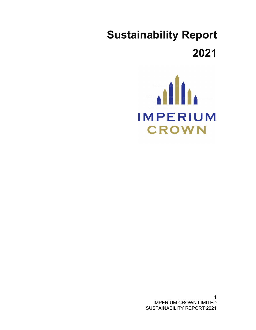# **Sustainability Report 2021**



1 IMPERIUM CROWN LIMITED SUSTAINABILITY REPORT 2021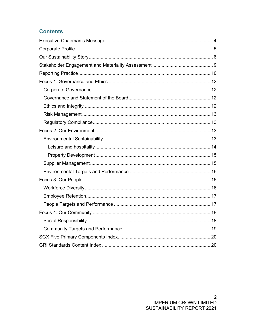## **Contents**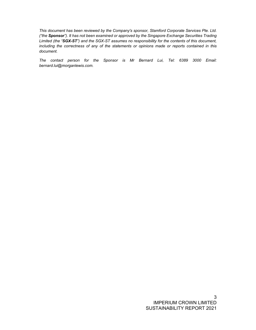*This document has been reviewed by the Company's sponsor, Stamford Corporate Services Pte. Ltd. ("the Sponsor"). It has not been examined or approved by the Singapore Exchange Securities Trading Limited (the "SGX-ST") and the SGX-ST assumes no responsibility for the contents of this document, including the correctness of any of the statements or opinions made or reports contained in this document.* 

*The contact person for the Sponsor is Mr Bernard Lui, Tel: 6389 3000 Email: bernard.lui@morganlewis.com.*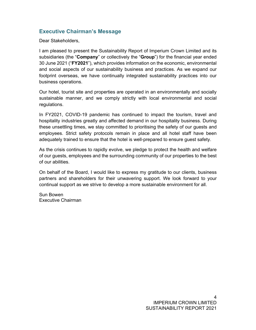## **Executive Chairman's Message**

Dear Stakeholders,

I am pleased to present the Sustainability Report of Imperium Crown Limited and its subsidiaries (the "**Company**" or collectively the "**Group**") for the financial year ended 30 June 2021 ("**FY2021**"), which provides information on the economic, environmental and social aspects of our sustainability business and practices. As we expand our footprint overseas, we have continually integrated sustainability practices into our business operations.

Our hotel, tourist site and properties are operated in an environmentally and socially sustainable manner, and we comply strictly with local environmental and social regulations.

In FY2021, COVID-19 pandemic has continued to impact the tourism, travel and hospitality industries greatly and affected demand in our hospitality business. During these unsettling times, we stay committed to prioritising the safety of our guests and employees. Strict safety protocols remain in place and all hotel staff have been adequately trained to ensure that the hotel is well-prepared to ensure guest safety.

As the crisis continues to rapidly evolve, we pledge to protect the health and welfare of our guests, employees and the surrounding community of our properties to the best of our abilities.

On behalf of the Board, I would like to express my gratitude to our clients, business partners and shareholders for their unwavering support. We look forward to your continual support as we strive to develop a more sustainable environment for all.

Sun Bowen Executive Chairman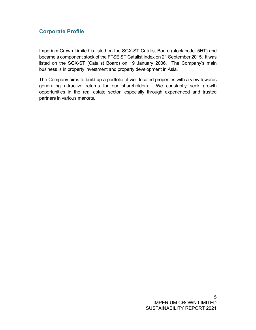## **Corporate Profile**

Imperium Crown Limited is listed on the SGX-ST Catalist Board (stock code: 5HT) and became a component stock of the FTSE ST Catalist Index on 21 September 2015. It was listed on the SGX-ST (Catalist Board) on 19 January 2006. The Company's main business is in property investment and property development in Asia.

The Company aims to build up a portfolio of well-located properties with a view towards generating attractive returns for our shareholders. We constantly seek growth opportunities in the real estate sector, especially through experienced and trusted partners in various markets.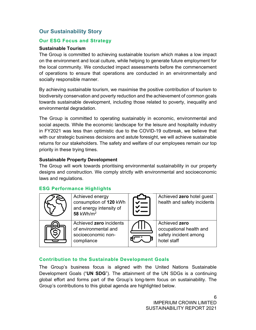## **Our Sustainability Story**

#### **Our ESG Focus and Strategy**

#### **Sustainable Tourism**

The Group is committed to achieving sustainable tourism which makes a low impact on the environment and local culture, while helping to generate future employment for the local community. We conducted impact assessments before the commencement of operations to ensure that operations are conducted in an environmentally and socially responsible manner.

By achieving sustainable tourism, we maximise the positive contribution of tourism to biodiversity conservation and poverty reduction and the achievement of common goals towards sustainable development, including those related to poverty, inequality and environmental degradation.

The Group is committed to operating sustainably in economic, environmental and social aspects. While the economic landscape for the leisure and hospitality industry in FY2021 was less than optimistic due to the COVID-19 outbreak, we believe that with our strategic business decisions and astute foresight, we will achieve sustainable returns for our stakeholders. The safety and welfare of our employees remain our top priority in these trying times.

#### **Sustainable Property Development**

The Group will work towards prioritising environmental sustainability in our property designs and construction. We comply strictly with environmental and socioeconomic laws and regulations.

#### **ESG Performance Highlights**



#### **Contribution to the Sustainable Development Goals**

The Group's business focus is aligned with the United Nations Sustainable Development Goals ("**UN SDG**"). The attainment of the UN SDGs is a continuing global effort and forms part of the Group's long-term focus on sustainability. The Group's contributions to this global agenda are highlighted below.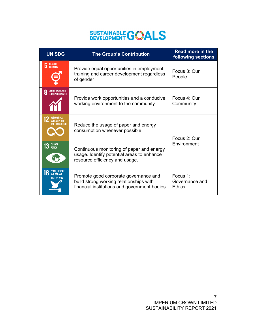## **SUSTAINABLE GWALS**

| <b>UN SDG</b>                                                          | <b>The Group's Contribution</b>                                                                                                  | <b>Read more in the</b><br>following sections |  |
|------------------------------------------------------------------------|----------------------------------------------------------------------------------------------------------------------------------|-----------------------------------------------|--|
| <b>GENDER</b><br>5<br><b>EQUALITY</b>                                  | Provide equal opportunities in employment,<br>training and career development regardless<br>of gender                            | Focus 3: Our<br>People                        |  |
| DECENT WORK AND<br><b><i>ECONDMIC GROWTH</i></b>                       | Provide work opportunities and a conducive<br>working environment to the community                                               | Focus $4:$ Our<br>Community                   |  |
| <b>RESPONSIBLE</b><br>CONSUMPTION<br>AND PRODUCTION                    | Reduce the usage of paper and energy<br>consumption whenever possible                                                            | Focus 2: Our<br>Environment                   |  |
| 13 GLIMATE                                                             | Continuous monitoring of paper and energy<br>usage. Identify potential areas to enhance<br>resource efficiency and usage.        |                                               |  |
| <b>PEACE, JUSTICE</b><br>16<br><b>AND STRONG</b><br><b>NSTITUTIONS</b> | Promote good corporate governance and<br>build strong working relationships with<br>financial institutions and government bodies | Focus 1:<br>Governance and<br><b>Ethics</b>   |  |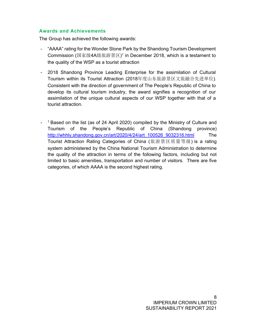#### **Awards and Achievements**

The Group has achieved the following awards:

- "AAAA" rating for the Wonder Stone Park by the Shandong Tourism Development Commission (国家级4A级旅游景区) 1 in December 2018, which is a testament to the quality of the WSP as a tourist attraction
- 2018 Shandong Province Leading Enterprise for the assimilation of Cultural Tourism within its Tourist Attraction (2018年度山东旅游景区文旅融合先进单位). Consistent with the direction of government of The People's Republic of China to develop its cultural tourism industry, the award signifies a recognition of our assimilation of the unique cultural aspects of our WSP together with that of a tourist attraction.
- <sup>1</sup> Based on the list (as of 24 April 2020) compiled by the Ministry of Culture and Tourism of the People's Republic of China (Shandong province) http://whhly.shandong.gov.cn/art/2020/4/24/art\_100526\_9032316.html The Tourist Attraction Rating Categories of China (旅游景区质量等级) is a rating system administered by the China National Tourism Administration to determine the quality of the attraction in terms of the following factors, including but not limited to basic amenities, transportation and number of visitors. There are five categories, of which AAAA is the second highest rating.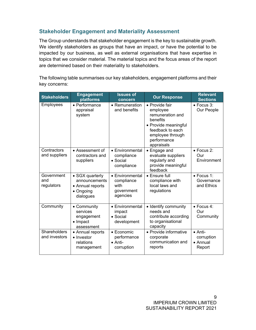## **Stakeholder Engagement and Materiality Assessment**

The Group understands that stakeholder engagement is the key to sustainable growth. We identify stakeholders as groups that have an impact, or have the potential to be impacted by our business, as well as external organisations that have expertise in topics that we consider material. The material topics and the focus areas of the report are determined based on their materiality to stakeholders.

The following table summarises our key stakeholders, engagement platforms and their key concerns:

| <b>Stakeholders</b>                  | <b>Engagement</b><br>platforms                                                 | <b>Issues of</b><br>concern                                                                                                                                                                       | <b>Our Response</b>                                                                        | <b>Relevant</b><br><b>Sections</b>                  |
|--------------------------------------|--------------------------------------------------------------------------------|---------------------------------------------------------------------------------------------------------------------------------------------------------------------------------------------------|--------------------------------------------------------------------------------------------|-----------------------------------------------------|
| Employees                            | • Performance<br>appraisal<br>system                                           | • Provide fair<br>$\bullet$ Remuneration<br>and benefits<br>employee<br>remuneration and<br>benefits<br>• Provide meaningful<br>feedback to each<br>employee through<br>performance<br>appraisals |                                                                                            | • Focus 3:<br>Our People                            |
| Contractors<br>and suppliers         | • Assessment of<br>contractors and<br>suppliers                                | • Environmental<br>• Engage and<br>evaluate suppliers<br>compliance<br>regularly and<br>$\bullet$ Social<br>provide meaningful<br>compliance<br>feedback                                          |                                                                                            | $\bullet$ Focus 2:<br>Our<br>Environment            |
| Government<br>and<br>regulators      | • SGX quarterly<br>announcements<br>• Annual reports<br>• Ongoing<br>dialogues | • Environmental<br>• Ensure full<br>compliance<br>compliance with<br>local laws and<br>with<br>regulations<br>government<br>agencies                                                              |                                                                                            | $\bullet$ Focus 1:<br>Governance<br>and Ethics      |
| Community                            | • Community<br>services<br>engagement<br>$\bullet$ Impact<br>assessment        | • Environmental<br>impact<br>$\bullet$ Social<br>development                                                                                                                                      | • Identify community<br>needs and<br>contribute according<br>to organisational<br>capacity |                                                     |
| <b>Shareholders</b><br>and investors | • Annual reports<br>• Investor<br>relations<br>management                      | • Provide informative<br>• Economic<br>performance<br>corporate<br>communication and<br>$\bullet$ Anti-<br>reports<br>corruption                                                                  |                                                                                            | $\bullet$ Anti-<br>corruption<br>• Annual<br>Report |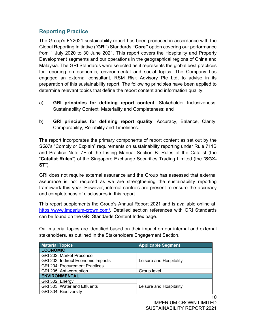## **Reporting Practice**

The Group's FY2021 sustainability report has been produced in accordance with the Global Reporting Initiative ("**GRI**") Standards **"Core"** option covering our performance from 1 July 2020 to 30 June 2021. This report covers the Hospitality and Property Development segments and our operations in the geographical regions of China and Malaysia. The GRI Standards were selected as it represents the global best practices for reporting on economic, environmental and social topics. The Company has engaged an external consultant, RSM Risk Advisory Pte Ltd, to advise in its preparation of this sustainability report. The following principles have been applied to determine relevant topics that define the report content and information quality:

- a) **GRI principles for defining report content**: Stakeholder Inclusiveness, Sustainability Context, Materiality and Completeness; and
- b) **GRI principles for defining report quality**: Accuracy, Balance, Clarity, Comparability, Reliability and Timeliness.

The report incorporates the primary components of report content as set out by the SGX's "Comply or Explain" requirements on sustainability reporting under Rule 711B and Practice Note 7F of the Listing Manual Section B: Rules of the Catalist (the "**Catalist Rules**") of the Singapore Exchange Securities Trading Limited (the "**SGX-ST**").

GRI does not require external assurance and the Group has assessed that external assurance is not required as we are strengthening the sustainability reporting framework this year. However, internal controls are present to ensure the accuracy and completeness of disclosures in this report.

This report supplements the Group's Annual Report 2021 and is available online at: https://www.imperium-crown.com/. Detailed section references with GRI Standards can be found on the GRI Standards Content Index page.

Our material topics are identified based on their impact on our internal and external stakeholders, as outlined in the Stakeholders Engagement Section.

| <b>Material Topics</b><br><b>Applicable Segment</b> |                         |  |  |  |  |
|-----------------------------------------------------|-------------------------|--|--|--|--|
| <b>ECONOMIC</b>                                     |                         |  |  |  |  |
| GRI 202: Market Presence                            |                         |  |  |  |  |
| GRI 203: Indirect Economic Impacts                  | Leisure and Hospitality |  |  |  |  |
| <b>GRI 204: Procurement Practices</b>               |                         |  |  |  |  |
| GRI 205: Anti-corruption                            | Group level             |  |  |  |  |
| <b>ENVIRONMENTAL</b>                                |                         |  |  |  |  |
| GRI 302: Energy                                     |                         |  |  |  |  |
| GRI 303: Water and Effluents                        | Leisure and Hospitality |  |  |  |  |
| GRI 304: Biodiversity                               |                         |  |  |  |  |

10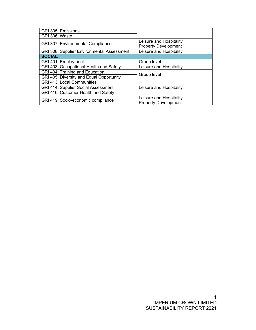| GRI 305: Emissions                                |                                                        |  |
|---------------------------------------------------|--------------------------------------------------------|--|
| GRI 306: Waste                                    |                                                        |  |
| <b>GRI 307: Environmental Compliance</b>          | Leisure and Hospitality<br><b>Property Development</b> |  |
| <b>GRI 308: Supplier Environmental Assessment</b> | Leisure and Hospitality                                |  |
| <b>SOCIAL</b>                                     |                                                        |  |
| GRI 401: Employment                               | Group level                                            |  |
| GRI 403: Occupational Health and Safety           | Leisure and Hospitality                                |  |
| GRI 404: Training and Education                   | Group level                                            |  |
| GRI 405: Diversity and Equal Opportunity          |                                                        |  |
| <b>GRI 413: Local Communities</b>                 | Leisure and Hospitality                                |  |
| <b>GRI 414: Supplier Social Assessment</b>        |                                                        |  |
| GRI 416: Customer Health and Safety               |                                                        |  |
| GRI 419: Socio-economic compliance                | Leisure and Hospitality                                |  |
|                                                   | <b>Property Development</b>                            |  |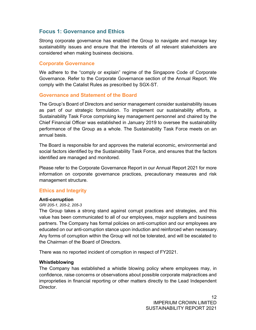## **Focus 1: Governance and Ethics**

Strong corporate governance has enabled the Group to navigate and manage key sustainability issues and ensure that the interests of all relevant stakeholders are considered when making business decisions.

#### **Corporate Governance**

We adhere to the "comply or explain" regime of the Singapore Code of Corporate Governance. Refer to the Corporate Governance section of the Annual Report. We comply with the Catalist Rules as prescribed by SGX-ST.

#### **Governance and Statement of the Board**

The Group's Board of Directors and senior management consider sustainability issues as part of our strategic formulation. To implement our sustainability efforts, a Sustainability Task Force comprising key management personnel and chaired by the Chief Financial Officer was established in January 2019 to oversee the sustainability performance of the Group as a whole. The Sustainability Task Force meets on an annual basis.

The Board is responsible for and approves the material economic, environmental and social factors identified by the Sustainability Task Force, and ensures that the factors identified are managed and monitored.

Please refer to the Corporate Governance Report in our Annual Report 2021 for more information on corporate governance practices, precautionary measures and risk management structure.

#### **Ethics and Integrity**

#### **Anti-corruption**

#### *GRI 205-1, 205-2, 205-3*

The Group takes a strong stand against corrupt practices and strategies, and this value has been communicated to all of our employees, major suppliers and business partners. The Company has formal policies on anti-corruption and our employees are educated on our anti-corruption stance upon induction and reinforced when necessary. Any forms of corruption within the Group will not be tolerated, and will be escalated to the Chairman of the Board of Directors.

There was no reported incident of corruption in respect of FY2021.

#### **Whistleblowing**

The Company has established a whistle blowing policy where employees may, in confidence, raise concerns or observations about possible corporate malpractices and improprieties in financial reporting or other matters directly to the Lead Independent Director.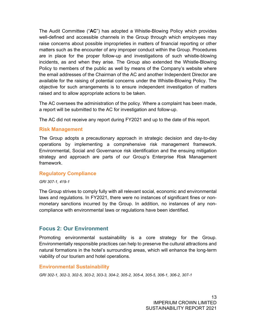The Audit Committee ("**AC**") has adopted a Whistle-Blowing Policy which provides well-defined and accessible channels in the Group through which employees may raise concerns about possible improprieties in matters of financial reporting or other matters such as the encounter of any improper conduct within the Group. Procedures are in place for the proper follow-up and investigations of such whistle-blowing incidents, as and when they arise. The Group also extended the Whistle-Blowing Policy to members of the public as well by means of the Company's website where the email addresses of the Chairman of the AC and another Independent Director are available for the raising of potential concerns under the Whistle-Blowing Policy. The objective for such arrangements is to ensure independent investigation of matters raised and to allow appropriate actions to be taken.

The AC oversees the administration of the policy. Where a complaint has been made, a report will be submitted to the AC for investigation and follow-up.

The AC did not receive any report during FY2021 and up to the date of this report.

#### **Risk Management**

The Group adopts a precautionary approach in strategic decision and day-to-day operations by implementing a comprehensive risk management framework. Environmental, Social and Governance risk identification and the ensuing mitigation strategy and approach are parts of our Group's Enterprise Risk Management framework.

#### **Regulatory Compliance**

*GRI 307-1, 419-1*

The Group strives to comply fully with all relevant social, economic and environmental laws and regulations. In FY2021, there were no instances of significant fines or nonmonetary sanctions incurred by the Group. In addition, no instances of any noncompliance with environmental laws or regulations have been identified.

## **Focus 2: Our Environment**

Promoting environmental sustainability is a core strategy for the Group. Environmentally responsible practices can help to preserve the cultural attractions and natural formations in the hotel's surrounding areas, which will enhance the long-term viability of our tourism and hotel operations.

#### **Environmental Sustainability**

*GRI 302-1, 302-3, 302-5, 303-2, 303-3, 304-2, 305-2, 305-4, 305-5, 306-1, 306-2, 307-1*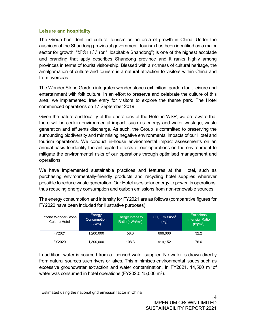#### **Leisure and hospitality**

The Group has identified cultural tourism as an area of growth in China. Under the auspices of the Shandong provincial government, tourism has been identified as a major sector for growth. "好客山东" (or "Hospitable Shandong") is one of the highest accolade and branding that aptly describes Shandong province and it ranks highly among provinces in terms of tourist visitor-ship. Blessed with a richness of cultural heritage, the amalgamation of culture and tourism is a natural attraction to visitors within China and from overseas.

The Wonder Stone Garden integrates wonder stones exhibition, garden tour, leisure and entertainment with folk culture. In an effort to preserve and celebrate the culture of this area, we implemented free entry for visitors to explore the theme park. The Hotel commenced operations on 17 September 2019.

Given the nature and locality of the operations of the Hotel in WSP, we are aware that there will be certain environmental impact, such as energy and water wastage, waste generation and effluents discharge. As such, the Group is committed to preserving the surrounding biodiversity and minimising negative environmental impacts of our Hotel and tourism operations. We conduct in-house environmental impact assessments on an annual basis to identify the anticipated effects of our operations on the environment to mitigate the environmental risks of our operations through optimised management and operations.

We have implemented sustainable practices and features at the Hotel, such as purchasing environmentally-friendly products and recycling hotel supplies wherever possible to reduce waste generation. Our Hotel uses solar energy to power its operations, thus reducing energy consumption and carbon emissions from non-renewable sources.

| Inzone Wonder Stone<br>Culture Hotel | Energy<br>Consumption<br>(kWh) | <b>Energy Intensity</b><br>Ratio (kWh/m <sup>2</sup> ) | $CO2$ Emission <sup>1</sup><br>(kg) | <b>Emissions</b><br><b>Intensity Ratio</b><br>(kg/m <sup>2</sup> ) |
|--------------------------------------|--------------------------------|--------------------------------------------------------|-------------------------------------|--------------------------------------------------------------------|
| FY2021                               | 1,200,000                      | 58.0                                                   | 666,000                             | 32.2                                                               |
| FY2020                               | 1,300,000                      | 108.3                                                  | 919.152                             | 76.6                                                               |

The energy consumption and intensity for FY2021 are as follows (comparative figures for FY2020 have been included for illustrative purposes):

In addition, water is sourced from a licensed water supplier. No water is drawn directly from natural sources such rivers or lakes. This minimises environmental issues such as excessive groundwater extraction and water contamination. In FY2021, 14,580  $\text{m}^3$  of water was consumed in hotel operations (FY2020: 15,000 m<sup>3</sup>).

 $1$  Estimated using the national grid emission factor in China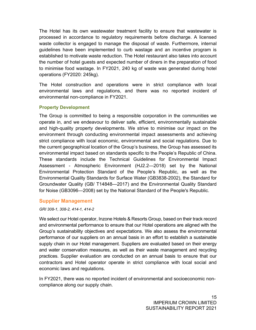The Hotel has its own wastewater treatment facility to ensure that wastewater is processed in accordance to regulatory requirements before discharge. A licensed waste collector is engaged to manage the disposal of waste. Furthermore, internal guidelines have been implemented to curb wastage and an incentive program is established to motivate waste reduction. The Hotel restaurant also takes into account the number of hotel guests and expected number of diners in the preparation of food to minimise food wastage. In FY2021, 240 kg of waste was generated during hotel operations (FY2020: 245kg).

The Hotel construction and operations were in strict compliance with local environmental laws and regulations, and there was no reported incident of environmental non-compliance in FY2021.

#### **Property Development**

The Group is committed to being a responsible corporation in the communities we operate in, and we endeavour to deliver safe, efficient, environmentally sustainable and high-quality property developments. We strive to minimise our impact on the environment through conducting environmental impact assessments and achieving strict compliance with local economic, environmental and social regulations. Due to the current geographical location of the Group's business, the Group has assessed its environmental impact based on standards specific to the People's Republic of China. These standards include the Technical Guidelines for Environmental Impact Assessment - Atmospheric Environment (HJ2.2—2018) set by the National Environmental Protection Standard of the People's Republic, as well as the Environmental Quality Standards for Surface Water (GB3838-2002), the Standard for Groundwater Quality (GB/ T14848—2017) and the Environmental Quality Standard for Noise (GB3096—2008) set by the National Standard of the People's Republic.

#### **Supplier Management**

*GRI 308-1, 308-2, 414-1, 414-2* 

We select our Hotel operator, Inzone Hotels & Resorts Group, based on their track record and environmental performance to ensure that our Hotel operations are aligned with the Group's sustainability objectives and expectations. We also assess the environmental performance of our suppliers on an annual basis in an effort to establish a sustainable supply chain in our Hotel management. Suppliers are evaluated based on their energy and water conservation measures, as well as their waste management and recycling practices. Supplier evaluation are conducted on an annual basis to ensure that our contractors and Hotel operator operate in strict compliance with local social and economic laws and regulations.

In FY2021, there was no reported incident of environmental and socioeconomic noncompliance along our supply chain.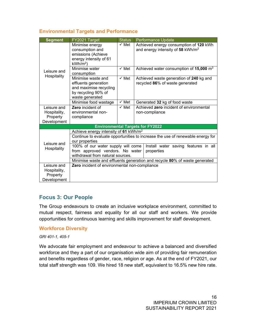#### **Environmental Targets and Performance**

| <b>Segment</b>                                         | FY2021 Target                                                                                                                                                   | <b>Status</b>    | Performance Update                                                                             |  |
|--------------------------------------------------------|-----------------------------------------------------------------------------------------------------------------------------------------------------------------|------------------|------------------------------------------------------------------------------------------------|--|
|                                                        | Minimise energy<br>consumption and<br>emissions (Achieve<br>energy intensity of 61<br>$kWh/m2$ )                                                                | $\checkmark$ Met | Achieved energy consumption of 120 kWh<br>and energy intensity of 58 kWh/m <sup>2</sup>        |  |
| Leisure and                                            | Minimise water<br>consumption                                                                                                                                   | $\checkmark$ Met | Achieved water consumption of $15,000$ m <sup>3</sup>                                          |  |
|                                                        | Hospitality<br>Minimise waste and<br>effluents generation<br>and maximise recycling<br>by recycling 90% of<br>waste generated                                   |                  | $\checkmark$ Met<br>Achieved waste generation of 240 kg and<br>recycled 86% of waste generated |  |
|                                                        | Minimise food wastage                                                                                                                                           | $\checkmark$ Met | Generated 32 kg of food waste                                                                  |  |
| Leisure and<br>Hospitality,<br>Property<br>Development | Zero incident of<br>environmental non-<br>compliance                                                                                                            | $\checkmark$ Met | Achieved zero incident of environmental<br>non-compliance                                      |  |
|                                                        |                                                                                                                                                                 |                  | <b>Environmental Targets for FY2022</b>                                                        |  |
|                                                        | Achieve energy intensity of 61 kWh/m <sup>2</sup>                                                                                                               |                  |                                                                                                |  |
| Leisure and                                            | Continue to evaluate opportunities to increase the use of renewable energy for<br>our properties                                                                |                  |                                                                                                |  |
| Hospitality                                            | 100% of our water supply will come<br>Install water saving features in all<br>from approved vendors. No water<br>properties<br>withdrawal from natural sources. |                  |                                                                                                |  |
|                                                        | Minimise waste and effluents generation and recycle 80% of waste generated                                                                                      |                  |                                                                                                |  |
| Leisure and<br>Hospitality,<br>Property<br>Development | Zero incident of environmental non-compliance                                                                                                                   |                  |                                                                                                |  |

#### **Focus 3: Our People**

The Group endeavours to create an inclusive workplace environment, committed to mutual respect, fairness and equality for all our staff and workers. We provide opportunities for continuous learning and skills improvement for staff development.

#### **Workforce Diversity**

*GRI 401-1, 405-1* 

We advocate fair employment and endeavour to achieve a balanced and diversified workforce and they a part of our organisation wide aim of providing fair remuneration and benefits regardless of gender, race, religion or age. As at the end of FY2021, our total staff strength was 109. We hired 18 new staff, equivalent to 16.5% new hire rate.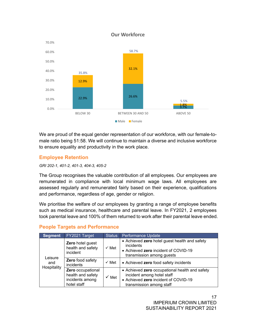

**Our Workforce**

We are proud of the equal gender representation of our workforce, with our female-tomale ratio being 51:58. We will continue to maintain a diverse and inclusive workforce to ensure equality and productivity in the work place.

#### **Employee Retention**

#### *GRI 202-1, 401-2, 401-3, 404-3, 405-2*

The Group recognises the valuable contribution of all employees. Our employees are remunerated in compliance with local minimum wage laws. All employees are assessed regularly and remunerated fairly based on their experience, qualifications and performance, regardless of age, gender or religion.

We prioritise the welfare of our employees by granting a range of employee benefits such as medical insurance, healthcare and parental leave. In FY2021, 2 employees took parental leave and 100% of them returned to work after their parental leave ended.

| <b>Segment</b> | FY2021 Target                                                            | <b>Status</b>    | Performance Update                                                                                                                               |  |
|----------------|--------------------------------------------------------------------------|------------------|--------------------------------------------------------------------------------------------------------------------------------------------------|--|
|                | Zero hotel guest<br>health and safety<br>incident                        | $\checkmark$ Met | • Achieved zero hotel guest health and safety<br>incidents<br>• Achieved zero incident of COVID-19<br>transmission among quests                  |  |
| Leisure<br>and | <b>Zero</b> food safety<br>incidents                                     | $\checkmark$ Met | • Achieved zero food safety incidents                                                                                                            |  |
| Hospitality    | Zero occupational<br>health and safety<br>incidents among<br>hotel staff | $\checkmark$ Met | • Achieved zero occupational health and safety<br>incident among hotel staff<br>• Achieved zero incident of COVID-19<br>transmission among staff |  |

## **People Targets and Performance**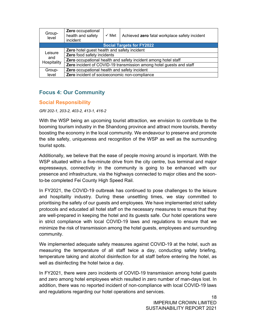| Group-<br>level | Zero occupational<br>health and safety<br>incident                  | $\checkmark$ Met | Achieved zero fatal workplace safety incident |  |
|-----------------|---------------------------------------------------------------------|------------------|-----------------------------------------------|--|
|                 |                                                                     |                  | <b>Social Targets for FY2022</b>              |  |
| Leisure         | Zero hotel guest health and safety incident                         |                  |                                               |  |
|                 | Zero food safety incidents                                          |                  |                                               |  |
| and             | Zero occupational health and safety incident among hotel staff      |                  |                                               |  |
| Hospitality     | Zero incident of COVID-19 transmission among hotel guests and staff |                  |                                               |  |
| Group-          | Zero occupational health and safety incident                        |                  |                                               |  |
| level           | Zero incident of socioeconomic non-compliance                       |                  |                                               |  |

## **Focus 4: Our Community**

#### **Social Responsibility**

*GRI 202-1, 203-2, 403-2, 413-1, 416-2* 

With the WSP being an upcoming tourist attraction, we envision to contribute to the booming tourism industry in the Shandong province and attract more tourists, thereby boosting the economy in the local community. We endeavour to preserve and promote the site safety, uniqueness and recognition of the WSP as well as the surrounding tourist spots.

Additionally, we believe that the ease of people moving around is important. With the WSP situated within a five-minute drive from the city centre, bus terminal and major expressways, connectivity in the community is going to be enhanced with our presence and infrastructure, via the highways connected to major cities and the soonto-be completed Fei County High Speed Rail.

In FY2021, the COVID-19 outbreak has continued to pose challenges to the leisure and hospitality industry. During these unsettling times, we stay committed to prioritising the safety of our guests and employees. We have implemented strict safety protocols and educated all hotel staff on the necessary measures to ensure that they are well-prepared in keeping the hotel and its guests safe. Our hotel operations were in strict compliance with local COVID-19 laws and regulations to ensure that we minimize the risk of transmission among the hotel guests, employees and surrounding community.

We implemented adequate safety measures against COVID-19 at the hotel, such as measuring the temperature of all staff twice a day, conducting safety briefing, temperature taking and alcohol disinfection for all staff before entering the hotel, as well as disinfecting the hotel twice a day.

In FY2021, there were zero incidents of COVID-19 transmission among hotel guests and zero among hotel employees which resulted in zero number of man-days lost. In addition, there was no reported incident of non-compliance with local COVID-19 laws and regulations regarding our hotel operations and services.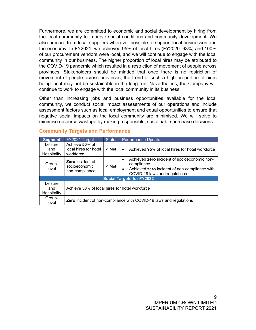Furthermore, we are committed to economic and social development by hiring from the local community to improve social conditions and community development. We also procure from local suppliers wherever possible to support local businesses and the economy. In FY2021, we achieved 95% of local hires (FY2020: 63%) and 100% of our procurement vendors were local, and we will continue to engage with the local community in our business. The higher proportion of local hires may be attributed to the COVID-19 pandemic which resulted in a restriction of movement of people across provinces. Stakeholders should be minded that once there is no restriction of movement of people across provinces, the trend of such a high proportion of hires being local may not be sustainable in the long run. Nevertheless, the Company will continue to work to engage with the local community in its business.

Other than increasing jobs and business opportunities available for the local community, we conduct social impact assessments of our operations and include assessment factors such as local employment and equal opportunities to ensure that negative social impacts on the local community are minimised. We will strive to minimise resource wastage by making responsible, sustainable purchase decisions.

| <b>Segment</b>                | FY2021 Target                                                      | <b>Status</b><br>Performance Update |                                                                                                                                                           |  |
|-------------------------------|--------------------------------------------------------------------|-------------------------------------|-----------------------------------------------------------------------------------------------------------------------------------------------------------|--|
| Leisure<br>and<br>Hospitality | Achieve 50% of<br>local hires for hotel<br>workforce               | $\checkmark$ Met                    | Achieved 95% of local hires for hotel workforce<br>$\bullet$                                                                                              |  |
| Group-<br>level               | <b>Zero</b> incident of<br>socioeconomic<br>non-compliance         | $\checkmark$ Met                    | Achieved zero incident of socioeconomic non-<br>$\bullet$<br>compliance<br>Achieved zero incident of non-compliance with<br>COVID-19 laws and regulations |  |
|                               |                                                                    |                                     | <b>Social Targets for FY2022</b>                                                                                                                          |  |
| Leisure<br>and<br>Hospitality | Achieve 50% of local hires for hotel workforce                     |                                     |                                                                                                                                                           |  |
| Group-<br>level               | Zero incident of non-compliance with COVID-19 laws and regulations |                                     |                                                                                                                                                           |  |

#### **Community Targets and Performance**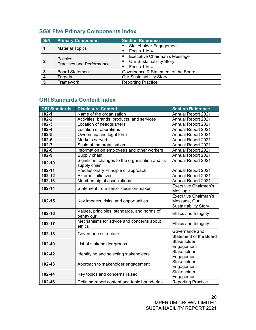| S/N            | <b>Primary Component</b>                      | <b>Section Reference</b>                                                                              |  |  |
|----------------|-----------------------------------------------|-------------------------------------------------------------------------------------------------------|--|--|
|                | <b>Material Topics</b>                        | Stakeholder Engagement<br>Focus 1 to 4<br>٠                                                           |  |  |
| $\overline{2}$ | Policies,<br><b>Practices and Performance</b> | <b>Executive Chairman's Message</b><br>٠<br><b>Our Sustainability Story</b><br>٠<br>Focus 1 to 4<br>٠ |  |  |
| 3              | <b>Board Statement</b>                        | Governance & Statement of the Board                                                                   |  |  |
|                | Targets                                       | <b>Our Sustainability Story</b>                                                                       |  |  |
| 5              | Framework                                     | <b>Reporting Practice</b>                                                                             |  |  |

## **SGX Five Primary Components Index**

## **GRI Standards Content Index**

| <b>GRI Standards</b> | <b>Disclosure Content</b>                                       | <b>Section Reference</b>                        |
|----------------------|-----------------------------------------------------------------|-------------------------------------------------|
| $102 - 1$            | Name of the organisation                                        | <b>Annual Report 2021</b>                       |
| $102 - 2$            | Activities, brands, products, and services                      | <b>Annual Report 2021</b>                       |
| $102 - 3$            | Location of headquarters                                        | Annual Report 2021                              |
| $102 - 4$            | Location of operations                                          | <b>Annual Report 2021</b>                       |
| $102 - 5$            | Ownership and legal form                                        | <b>Annual Report 2021</b>                       |
| $102 - 6$            | Markets served                                                  | <b>Annual Report 2021</b>                       |
| 102-7                | Scale of the organisation                                       | Annual Report 2021                              |
| $102 - 8$            | Information on employees and other workers                      | <b>Annual Report 2021</b>                       |
| 102-9                | Supply chain                                                    | <b>Annual Report 2021</b>                       |
| 102-10               | Significant changes to the organisation and its<br>supply chain | <b>Annual Report 2021</b>                       |
| 102-11               | Precautionary Principle or approach                             | <b>Annual Report 2021</b>                       |
| 102-12               | <b>External initiatives</b>                                     | <b>Annual Report 2021</b>                       |
| 102-13               | Membership of associations                                      | Annual Report 2021                              |
| 102-14               | Statement from senior decision-maker                            | <b>Executive Chairman's</b><br>Message          |
| 102-15               | Key impacts, risks, and opportunities                           |                                                 |
| 102-16               | Values, principles, standards, and norms of<br>behaviour        | Ethics and Integrity                            |
| 102-17               | Mechanisms for advice and concerns about<br>ethics              | Ethics and Integrity                            |
| 102-18               | Governance structure                                            | Governance and<br><b>Statement of the Board</b> |
| 102-40               | List of stakeholder groups                                      | Stakeholder<br>Engagement                       |
| 102-42               | Identifying and selecting stakeholders                          | Stakeholder<br>Engagement                       |
| 102-43               | Approach to stakeholder engagement                              | Stakeholder<br>Engagement                       |
| 102-44               | Key topics and concerns raised                                  | Stakeholder<br>Engagement                       |
| 102-46               | Defining report content and topic boundaries                    | <b>Reporting Practice</b>                       |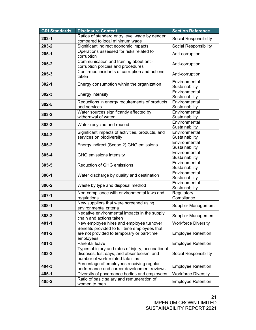| <b>GRI Standards</b> | <b>Disclosure Content</b>                                                                                                           | <b>Section Reference</b>        |
|----------------------|-------------------------------------------------------------------------------------------------------------------------------------|---------------------------------|
| $202 - 1$            | Ratios of standard entry level wage by gender                                                                                       | Social Responsibility           |
|                      | compared to local minimum wage                                                                                                      |                                 |
| 203-2                | Significant indirect economic impacts                                                                                               | Social Responsibility           |
| 205-1                | Operations assessed for risks related to<br>corruption                                                                              | Anti-corruption                 |
| 205-2                | Communication and training about anti-<br>corruption policies and procedures                                                        | Anti-corruption                 |
| $205 - 3$            | Confirmed incidents of corruption and actions<br>taken                                                                              | Anti-corruption                 |
| $302 - 1$            | Energy consumption within the organization                                                                                          | Environmental<br>Sustainability |
| $302 - 3$            | <b>Energy intensity</b>                                                                                                             | Environmental<br>Sustainability |
| 302-5                | Reductions in energy requirements of products<br>and services                                                                       | Environmental<br>Sustainability |
| $303 - 2$            | Water sources significantly affected by<br>withdrawal of water                                                                      | Environmental<br>Sustainability |
| $303 - 3$            | Water recycled and reused                                                                                                           | Environmental<br>Sustainability |
| $304 - 2$            | Significant impacts of activities, products, and<br>services on biodiversity                                                        | Environmental<br>Sustainability |
| 305-2                | Energy indirect (Scope 2) GHG emissions                                                                                             | Environmental<br>Sustainability |
| $305 - 4$            | GHG emissions intensity                                                                                                             | Environmental<br>Sustainability |
| $305 - 5$            | <b>Reduction of GHG emissions</b>                                                                                                   | Environmental<br>Sustainability |
| 306-1                | Water discharge by quality and destination                                                                                          | Environmental<br>Sustainability |
| 306-2                | Waste by type and disposal method                                                                                                   | Environmental<br>Sustainability |
| $307 - 1$            | Non-compliance with environmental laws and<br>regulations                                                                           | Regulatory<br>Compliance        |
| 308-1                | New suppliers that were screened using<br>environmental criteria                                                                    | <b>Supplier Management</b>      |
| 308-2                | Negative environmental impacts in the supply<br>chain and actions taken                                                             | <b>Supplier Management</b>      |
| $401 - 1$            | New employee hires and employee turnover                                                                                            | <b>Workforce Diversity</b>      |
| $401 - 2$            | Benefits provided to full time employees that<br>are not provided to temporary or part-time<br>employees                            | <b>Employee Retention</b>       |
| $401 - 3$            | Parental leave                                                                                                                      | <b>Employee Retention</b>       |
| 403-2                | Types of injury and rates of injury, occupational<br>diseases, lost days, and absenteeism, and<br>number of work-related fatalities | Social Responsibility           |
| 404-3                | Percentage of employees receiving regular<br>performance and career development reviews                                             | <b>Employee Retention</b>       |
| 405-1                | Diversity of governance bodies and employees                                                                                        | <b>Workforce Diversity</b>      |
| 405-2                | Ratio of basic salary and remuneration of<br>women to men                                                                           | <b>Employee Retention</b>       |

21